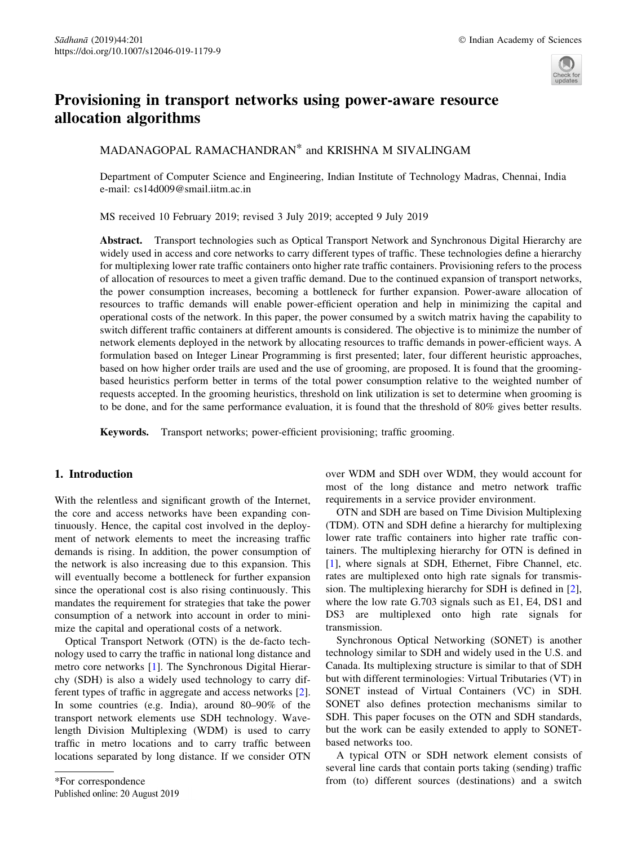

# Provisioning in transport networks using power-aware resource allocation algorithms

# MADANAGOPAL RAMACHANDRAN\* and KRISHNA M SIVALINGAM

Department of Computer Science and Engineering, Indian Institute of Technology Madras, Chennai, India e-mail: cs14d009@smail.iitm.ac.in

MS received 10 February 2019; revised 3 July 2019; accepted 9 July 2019

Abstract. Transport technologies such as Optical Transport Network and Synchronous Digital Hierarchy are widely used in access and core networks to carry different types of traffic. These technologies define a hierarchy for multiplexing lower rate traffic containers onto higher rate traffic containers. Provisioning refers to the process of allocation of resources to meet a given traffic demand. Due to the continued expansion of transport networks, the power consumption increases, becoming a bottleneck for further expansion. Power-aware allocation of resources to traffic demands will enable power-efficient operation and help in minimizing the capital and operational costs of the network. In this paper, the power consumed by a switch matrix having the capability to switch different traffic containers at different amounts is considered. The objective is to minimize the number of network elements deployed in the network by allocating resources to traffic demands in power-efficient ways. A formulation based on Integer Linear Programming is first presented; later, four different heuristic approaches, based on how higher order trails are used and the use of grooming, are proposed. It is found that the groomingbased heuristics perform better in terms of the total power consumption relative to the weighted number of requests accepted. In the grooming heuristics, threshold on link utilization is set to determine when grooming is to be done, and for the same performance evaluation, it is found that the threshold of 80% gives better results.

Keywords. Transport networks; power-efficient provisioning; traffic grooming.

# 1. Introduction

With the relentless and significant growth of the Internet, the core and access networks have been expanding continuously. Hence, the capital cost involved in the deployment of network elements to meet the increasing traffic demands is rising. In addition, the power consumption of the network is also increasing due to this expansion. This will eventually become a bottleneck for further expansion since the operational cost is also rising continuously. This mandates the requirement for strategies that take the power consumption of a network into account in order to minimize the capital and operational costs of a network.

Optical Transport Network (OTN) is the de-facto technology used to carry the traffic in national long distance and metro core networks [1]. The Synchronous Digital Hierarchy (SDH) is also a widely used technology to carry different types of traffic in aggregate and access networks [2]. In some countries (e.g. India), around 80–90% of the transport network elements use SDH technology. Wavelength Division Multiplexing (WDM) is used to carry traffic in metro locations and to carry traffic between locations separated by long distance. If we consider OTN over WDM and SDH over WDM, they would account for most of the long distance and metro network traffic requirements in a service provider environment.

OTN and SDH are based on Time Division Multiplexing (TDM). OTN and SDH define a hierarchy for multiplexing lower rate traffic containers into higher rate traffic containers. The multiplexing hierarchy for OTN is defined in [1], where signals at SDH, Ethernet, Fibre Channel, etc. rates are multiplexed onto high rate signals for transmission. The multiplexing hierarchy for SDH is defined in [2], where the low rate G.703 signals such as E1, E4, DS1 and DS3 are multiplexed onto high rate signals for transmission.

Synchronous Optical Networking (SONET) is another technology similar to SDH and widely used in the U.S. and Canada. Its multiplexing structure is similar to that of SDH but with different terminologies: Virtual Tributaries (VT) in SONET instead of Virtual Containers (VC) in SDH. SONET also defines protection mechanisms similar to SDH. This paper focuses on the OTN and SDH standards, but the work can be easily extended to apply to SONETbased networks too.

A typical OTN or SDH network element consists of several line cards that contain ports taking (sending) traffic \*For correspondence from (to) different sources (destinations) and a switch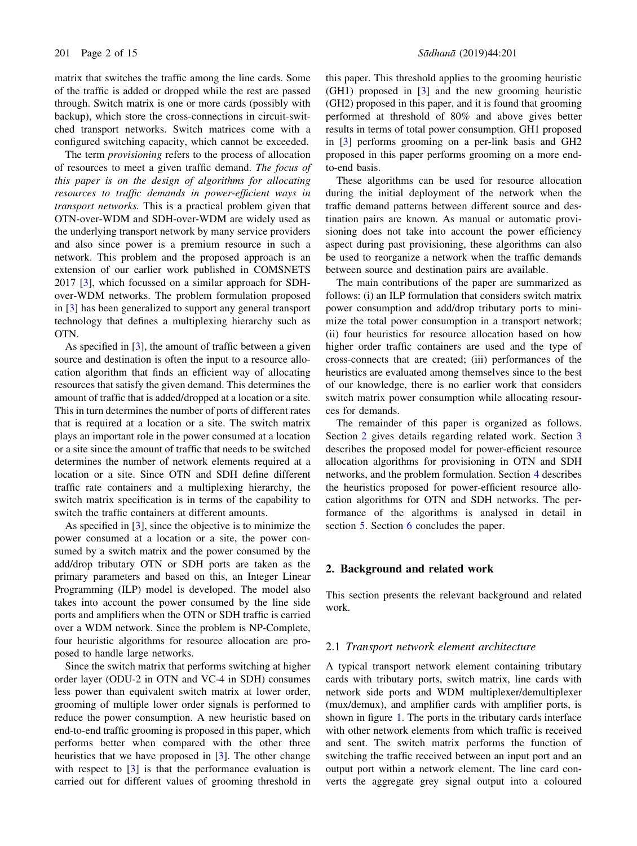matrix that switches the traffic among the line cards. Some of the traffic is added or dropped while the rest are passed through. Switch matrix is one or more cards (possibly with backup), which store the cross-connections in circuit-switched transport networks. Switch matrices come with a configured switching capacity, which cannot be exceeded.

The term provisioning refers to the process of allocation of resources to meet a given traffic demand. The focus of this paper is on the design of algorithms for allocating resources to traffic demands in power-efficient ways in transport networks. This is a practical problem given that OTN-over-WDM and SDH-over-WDM are widely used as the underlying transport network by many service providers and also since power is a premium resource in such a network. This problem and the proposed approach is an extension of our earlier work published in COMSNETS 2017 [3], which focussed on a similar approach for SDHover-WDM networks. The problem formulation proposed in [3] has been generalized to support any general transport technology that defines a multiplexing hierarchy such as OTN.

As specified in [3], the amount of traffic between a given source and destination is often the input to a resource allocation algorithm that finds an efficient way of allocating resources that satisfy the given demand. This determines the amount of traffic that is added/dropped at a location or a site. This in turn determines the number of ports of different rates that is required at a location or a site. The switch matrix plays an important role in the power consumed at a location or a site since the amount of traffic that needs to be switched determines the number of network elements required at a location or a site. Since OTN and SDH define different traffic rate containers and a multiplexing hierarchy, the switch matrix specification is in terms of the capability to switch the traffic containers at different amounts.

As specified in [3], since the objective is to minimize the power consumed at a location or a site, the power consumed by a switch matrix and the power consumed by the add/drop tributary OTN or SDH ports are taken as the primary parameters and based on this, an Integer Linear Programming (ILP) model is developed. The model also takes into account the power consumed by the line side ports and amplifiers when the OTN or SDH traffic is carried over a WDM network. Since the problem is NP-Complete, four heuristic algorithms for resource allocation are proposed to handle large networks.

Since the switch matrix that performs switching at higher order layer (ODU-2 in OTN and VC-4 in SDH) consumes less power than equivalent switch matrix at lower order, grooming of multiple lower order signals is performed to reduce the power consumption. A new heuristic based on end-to-end traffic grooming is proposed in this paper, which performs better when compared with the other three heuristics that we have proposed in [3]. The other change with respect to [3] is that the performance evaluation is carried out for different values of grooming threshold in this paper. This threshold applies to the grooming heuristic (GH1) proposed in [3] and the new grooming heuristic (GH2) proposed in this paper, and it is found that grooming performed at threshold of 80% and above gives better results in terms of total power consumption. GH1 proposed in [3] performs grooming on a per-link basis and GH2 proposed in this paper performs grooming on a more endto-end basis.

These algorithms can be used for resource allocation during the initial deployment of the network when the traffic demand patterns between different source and destination pairs are known. As manual or automatic provisioning does not take into account the power efficiency aspect during past provisioning, these algorithms can also be used to reorganize a network when the traffic demands between source and destination pairs are available.

The main contributions of the paper are summarized as follows: (i) an ILP formulation that considers switch matrix power consumption and add/drop tributary ports to minimize the total power consumption in a transport network; (ii) four heuristics for resource allocation based on how higher order traffic containers are used and the type of cross-connects that are created; (iii) performances of the heuristics are evaluated among themselves since to the best of our knowledge, there is no earlier work that considers switch matrix power consumption while allocating resources for demands.

The remainder of this paper is organized as follows. Section 2 gives details regarding related work. Section 3 describes the proposed model for power-efficient resource allocation algorithms for provisioning in OTN and SDH networks, and the problem formulation. Section 4 describes the heuristics proposed for power-efficient resource allocation algorithms for OTN and SDH networks. The performance of the algorithms is analysed in detail in section 5. Section 6 concludes the paper.

## 2. Background and related work

This section presents the relevant background and related work.

### 2.1 Transport network element architecture

A typical transport network element containing tributary cards with tributary ports, switch matrix, line cards with network side ports and WDM multiplexer/demultiplexer (mux/demux), and amplifier cards with amplifier ports, is shown in figure 1. The ports in the tributary cards interface with other network elements from which traffic is received and sent. The switch matrix performs the function of switching the traffic received between an input port and an output port within a network element. The line card converts the aggregate grey signal output into a coloured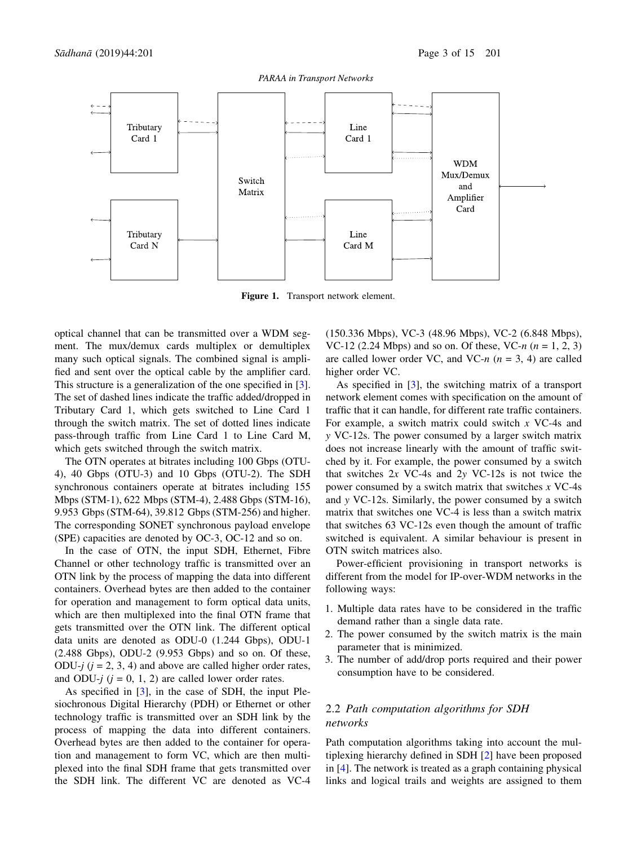

PARAA in Transport Networks

Figure 1. Transport network element.

optical channel that can be transmitted over a WDM segment. The mux/demux cards multiplex or demultiplex many such optical signals. The combined signal is amplified and sent over the optical cable by the amplifier card. This structure is a generalization of the one specified in [3]. The set of dashed lines indicate the traffic added/dropped in Tributary Card 1, which gets switched to Line Card 1 through the switch matrix. The set of dotted lines indicate pass-through traffic from Line Card 1 to Line Card M, which gets switched through the switch matrix.

The OTN operates at bitrates including 100 Gbps (OTU-4), 40 Gbps (OTU-3) and 10 Gbps (OTU-2). The SDH synchronous containers operate at bitrates including 155 Mbps (STM-1), 622 Mbps (STM-4), 2.488 Gbps (STM-16), 9.953 Gbps (STM-64), 39.812 Gbps (STM-256) and higher. The corresponding SONET synchronous payload envelope (SPE) capacities are denoted by OC-3, OC-12 and so on.

In the case of OTN, the input SDH, Ethernet, Fibre Channel or other technology traffic is transmitted over an OTN link by the process of mapping the data into different containers. Overhead bytes are then added to the container for operation and management to form optical data units, which are then multiplexed into the final OTN frame that gets transmitted over the OTN link. The different optical data units are denoted as ODU-0 (1.244 Gbps), ODU-1 (2.488 Gbps), ODU-2 (9.953 Gbps) and so on. Of these, ODU-j  $(j = 2, 3, 4)$  and above are called higher order rates, and ODU-j  $(j = 0, 1, 2)$  are called lower order rates.

As specified in [3], in the case of SDH, the input Plesiochronous Digital Hierarchy (PDH) or Ethernet or other technology traffic is transmitted over an SDH link by the process of mapping the data into different containers. Overhead bytes are then added to the container for operation and management to form VC, which are then multiplexed into the final SDH frame that gets transmitted over the SDH link. The different VC are denoted as VC-4 (150.336 Mbps), VC-3 (48.96 Mbps), VC-2 (6.848 Mbps), VC-12 (2.24 Mbps) and so on. Of these, VC-n  $(n = 1, 2, 3)$ are called lower order VC, and VC-n  $(n = 3, 4)$  are called higher order VC.

As specified in [3], the switching matrix of a transport network element comes with specification on the amount of traffic that it can handle, for different rate traffic containers. For example, a switch matrix could switch  $x$  VC-4s and y VC-12s. The power consumed by a larger switch matrix does not increase linearly with the amount of traffic switched by it. For example, the power consumed by a switch that switches  $2x$  VC-4s and  $2y$  VC-12s is not twice the power consumed by a switch matrix that switches  $x$  VC-4s and y VC-12s. Similarly, the power consumed by a switch matrix that switches one VC-4 is less than a switch matrix that switches 63 VC-12s even though the amount of traffic switched is equivalent. A similar behaviour is present in OTN switch matrices also.

Power-efficient provisioning in transport networks is different from the model for IP-over-WDM networks in the following ways:

- 1. Multiple data rates have to be considered in the traffic demand rather than a single data rate.
- 2. The power consumed by the switch matrix is the main parameter that is minimized.
- 3. The number of add/drop ports required and their power consumption have to be considered.

# 2.2 Path computation algorithms for SDH networks

Path computation algorithms taking into account the multiplexing hierarchy defined in SDH [2] have been proposed in [4]. The network is treated as a graph containing physical links and logical trails and weights are assigned to them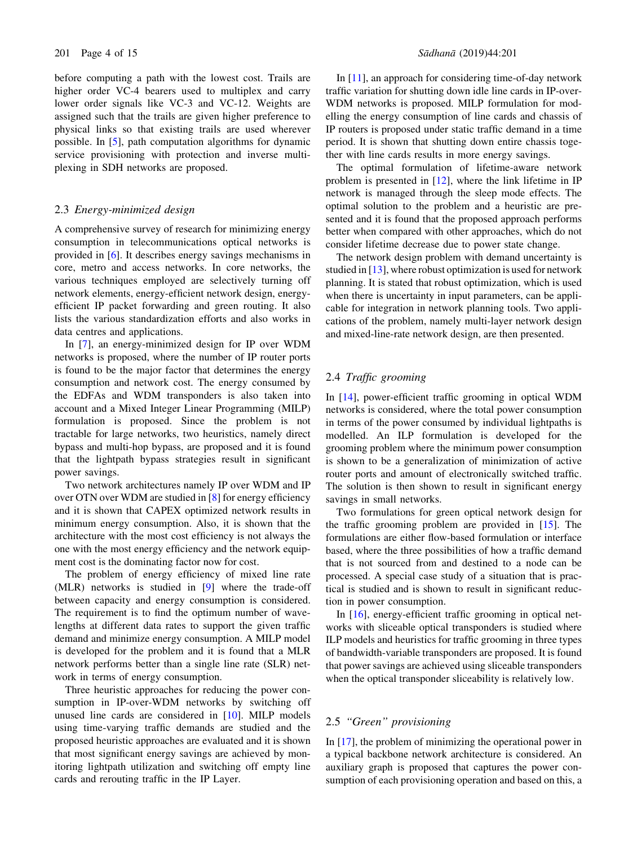before computing a path with the lowest cost. Trails are higher order VC-4 bearers used to multiplex and carry lower order signals like VC-3 and VC-12. Weights are assigned such that the trails are given higher preference to physical links so that existing trails are used wherever possible. In [5], path computation algorithms for dynamic service provisioning with protection and inverse multiplexing in SDH networks are proposed.

### 2.3 Energy-minimized design

A comprehensive survey of research for minimizing energy consumption in telecommunications optical networks is provided in [6]. It describes energy savings mechanisms in core, metro and access networks. In core networks, the various techniques employed are selectively turning off network elements, energy-efficient network design, energyefficient IP packet forwarding and green routing. It also lists the various standardization efforts and also works in data centres and applications.

In [7], an energy-minimized design for IP over WDM networks is proposed, where the number of IP router ports is found to be the major factor that determines the energy consumption and network cost. The energy consumed by the EDFAs and WDM transponders is also taken into account and a Mixed Integer Linear Programming (MILP) formulation is proposed. Since the problem is not tractable for large networks, two heuristics, namely direct bypass and multi-hop bypass, are proposed and it is found that the lightpath bypass strategies result in significant power savings.

Two network architectures namely IP over WDM and IP over OTN over WDM are studied in [8] for energy efficiency and it is shown that CAPEX optimized network results in minimum energy consumption. Also, it is shown that the architecture with the most cost efficiency is not always the one with the most energy efficiency and the network equipment cost is the dominating factor now for cost.

The problem of energy efficiency of mixed line rate (MLR) networks is studied in [9] where the trade-off between capacity and energy consumption is considered. The requirement is to find the optimum number of wavelengths at different data rates to support the given traffic demand and minimize energy consumption. A MILP model is developed for the problem and it is found that a MLR network performs better than a single line rate (SLR) network in terms of energy consumption.

Three heuristic approaches for reducing the power consumption in IP-over-WDM networks by switching off unused line cards are considered in [10]. MILP models using time-varying traffic demands are studied and the proposed heuristic approaches are evaluated and it is shown that most significant energy savings are achieved by monitoring lightpath utilization and switching off empty line cards and rerouting traffic in the IP Layer.

In [11], an approach for considering time-of-day network traffic variation for shutting down idle line cards in IP-over-WDM networks is proposed. MILP formulation for modelling the energy consumption of line cards and chassis of IP routers is proposed under static traffic demand in a time period. It is shown that shutting down entire chassis together with line cards results in more energy savings.

The optimal formulation of lifetime-aware network problem is presented in [12], where the link lifetime in IP network is managed through the sleep mode effects. The optimal solution to the problem and a heuristic are presented and it is found that the proposed approach performs better when compared with other approaches, which do not consider lifetime decrease due to power state change.

The network design problem with demand uncertainty is studied in [13], where robust optimization is used for network planning. It is stated that robust optimization, which is used when there is uncertainty in input parameters, can be applicable for integration in network planning tools. Two applications of the problem, namely multi-layer network design and mixed-line-rate network design, are then presented.

### 2.4 Traffic grooming

In [14], power-efficient traffic grooming in optical WDM networks is considered, where the total power consumption in terms of the power consumed by individual lightpaths is modelled. An ILP formulation is developed for the grooming problem where the minimum power consumption is shown to be a generalization of minimization of active router ports and amount of electronically switched traffic. The solution is then shown to result in significant energy savings in small networks.

Two formulations for green optical network design for the traffic grooming problem are provided in [15]. The formulations are either flow-based formulation or interface based, where the three possibilities of how a traffic demand that is not sourced from and destined to a node can be processed. A special case study of a situation that is practical is studied and is shown to result in significant reduction in power consumption.

In [16], energy-efficient traffic grooming in optical networks with sliceable optical transponders is studied where ILP models and heuristics for traffic grooming in three types of bandwidth-variable transponders are proposed. It is found that power savings are achieved using sliceable transponders when the optical transponder sliceability is relatively low.

# 2.5 "Green" provisioning

In [17], the problem of minimizing the operational power in a typical backbone network architecture is considered. An auxiliary graph is proposed that captures the power consumption of each provisioning operation and based on this, a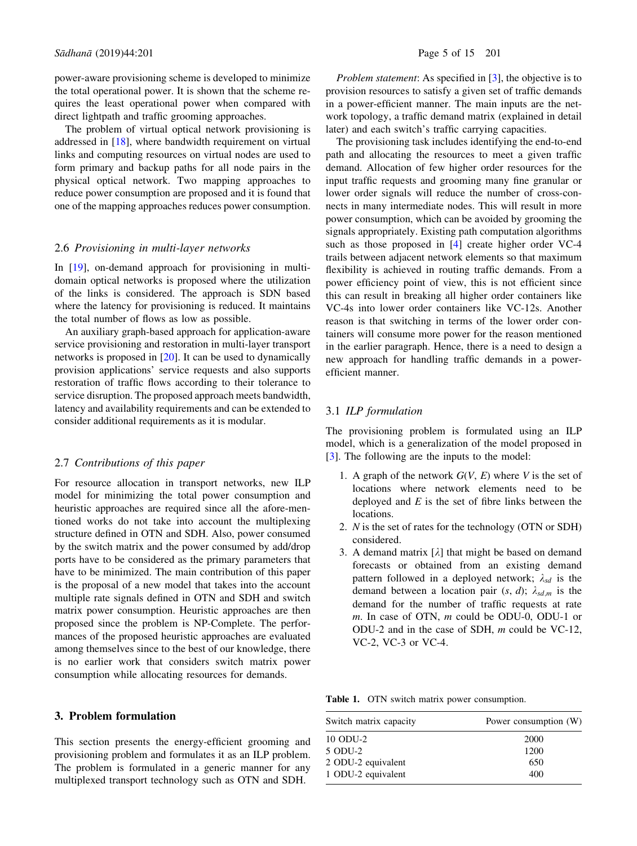power-aware provisioning scheme is developed to minimize the total operational power. It is shown that the scheme requires the least operational power when compared with direct lightpath and traffic grooming approaches.

The problem of virtual optical network provisioning is addressed in [18], where bandwidth requirement on virtual links and computing resources on virtual nodes are used to form primary and backup paths for all node pairs in the physical optical network. Two mapping approaches to reduce power consumption are proposed and it is found that one of the mapping approaches reduces power consumption.

#### 2.6 Provisioning in multi-layer networks

In [19], on-demand approach for provisioning in multidomain optical networks is proposed where the utilization of the links is considered. The approach is SDN based where the latency for provisioning is reduced. It maintains the total number of flows as low as possible.

An auxiliary graph-based approach for application-aware service provisioning and restoration in multi-layer transport networks is proposed in [20]. It can be used to dynamically provision applications' service requests and also supports restoration of traffic flows according to their tolerance to service disruption. The proposed approach meets bandwidth, latency and availability requirements and can be extended to consider additional requirements as it is modular.

# 2.7 Contributions of this paper

For resource allocation in transport networks, new ILP model for minimizing the total power consumption and heuristic approaches are required since all the afore-mentioned works do not take into account the multiplexing structure defined in OTN and SDH. Also, power consumed by the switch matrix and the power consumed by add/drop ports have to be considered as the primary parameters that have to be minimized. The main contribution of this paper is the proposal of a new model that takes into the account multiple rate signals defined in OTN and SDH and switch matrix power consumption. Heuristic approaches are then proposed since the problem is NP-Complete. The performances of the proposed heuristic approaches are evaluated among themselves since to the best of our knowledge, there is no earlier work that considers switch matrix power consumption while allocating resources for demands.

## 3. Problem formulation

This section presents the energy-efficient grooming and provisioning problem and formulates it as an ILP problem. The problem is formulated in a generic manner for any multiplexed transport technology such as OTN and SDH.

Problem statement: As specified in [3], the objective is to provision resources to satisfy a given set of traffic demands in a power-efficient manner. The main inputs are the network topology, a traffic demand matrix (explained in detail later) and each switch's traffic carrying capacities.

The provisioning task includes identifying the end-to-end path and allocating the resources to meet a given traffic demand. Allocation of few higher order resources for the input traffic requests and grooming many fine granular or lower order signals will reduce the number of cross-connects in many intermediate nodes. This will result in more power consumption, which can be avoided by grooming the signals appropriately. Existing path computation algorithms such as those proposed in [4] create higher order VC-4 trails between adjacent network elements so that maximum flexibility is achieved in routing traffic demands. From a power efficiency point of view, this is not efficient since this can result in breaking all higher order containers like VC-4s into lower order containers like VC-12s. Another reason is that switching in terms of the lower order containers will consume more power for the reason mentioned in the earlier paragraph. Hence, there is a need to design a new approach for handling traffic demands in a powerefficient manner.

# 3.1 ILP formulation

The provisioning problem is formulated using an ILP model, which is a generalization of the model proposed in [3]. The following are the inputs to the model:

- 1. A graph of the network  $G(V, E)$  where V is the set of locations where network elements need to be deployed and  $E$  is the set of fibre links between the locations.
- 2. N is the set of rates for the technology (OTN or SDH) considered.
- 3. A demand matrix  $[\lambda]$  that might be based on demand forecasts or obtained from an existing demand pattern followed in a deployed network;  $\lambda_{sd}$  is the demand between a location pair  $(s, d)$ ;  $\lambda_{sd,m}$  is the demand for the number of traffic requests at rate m. In case of OTN, m could be ODU-0, ODU-1 or ODU-2 and in the case of SDH, m could be VC-12, VC-2, VC-3 or VC-4.

Table 1. OTN switch matrix power consumption.

| Switch matrix capacity | Power consumption (W) |  |  |
|------------------------|-----------------------|--|--|
| 10 ODU-2               | 2000                  |  |  |
| 5 ODU-2                | 1200                  |  |  |
| 2 ODU-2 equivalent     | 650                   |  |  |
| 1 ODU-2 equivalent     | 400                   |  |  |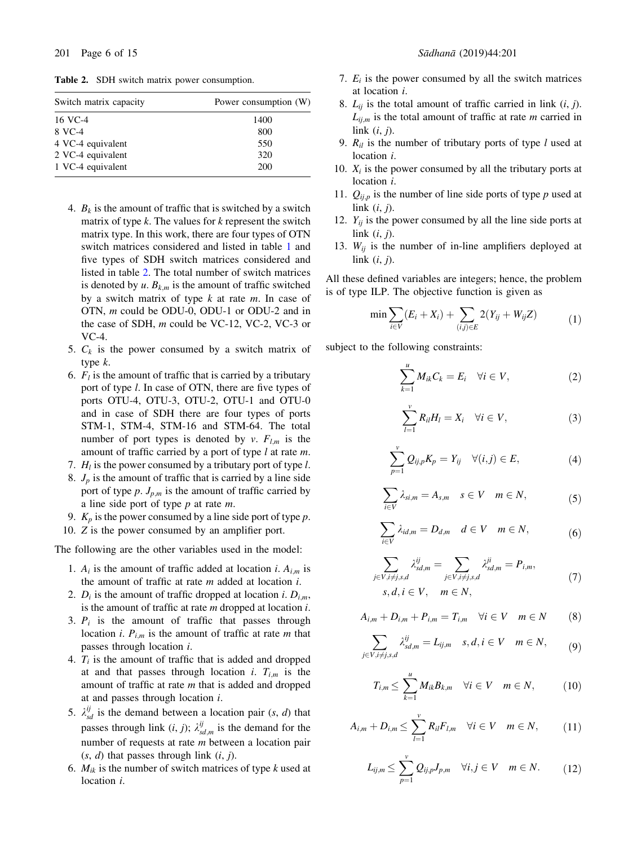Table 2. SDH switch matrix power consumption.

| Switch matrix capacity | Power consumption (W) |  |  |
|------------------------|-----------------------|--|--|
| 16 VC-4                | 1400                  |  |  |
| 8 VC-4                 | 800                   |  |  |
| 4 VC-4 equivalent      | 550                   |  |  |
| 2 VC-4 equivalent      | 320                   |  |  |
| 1 VC-4 equivalent      | <b>200</b>            |  |  |

- 4.  $B_k$  is the amount of traffic that is switched by a switch matrix of type  $k$ . The values for  $k$  represent the switch matrix type. In this work, there are four types of OTN switch matrices considered and listed in table 1 and five types of SDH switch matrices considered and listed in table 2. The total number of switch matrices is denoted by  $u$ .  $B_{k,m}$  is the amount of traffic switched by a switch matrix of type  $k$  at rate  $m$ . In case of OTN, m could be ODU-0, ODU-1 or ODU-2 and in the case of SDH, m could be VC-12, VC-2, VC-3 or VC-4.
- 5.  $C_k$  is the power consumed by a switch matrix of type k.
- 6.  $F_l$  is the amount of traffic that is carried by a tributary port of type l. In case of OTN, there are five types of ports OTU-4, OTU-3, OTU-2, OTU-1 and OTU-0 and in case of SDH there are four types of ports STM-1, STM-4, STM-16 and STM-64. The total number of port types is denoted by v.  $F_{l,m}$  is the amount of traffic carried by a port of type l at rate m.
- 7.  $H_l$  is the power consumed by a tributary port of type  $l$ .
- 8.  $J_p$  is the amount of traffic that is carried by a line side port of type  $p$ .  $J_{p,m}$  is the amount of traffic carried by a line side port of type  $p$  at rate  $m$ .
- 9.  $K_p$  is the power consumed by a line side port of type p.
- 10. Z is the power consumed by an amplifier port.

The following are the other variables used in the model:

- 1.  $A_i$  is the amount of traffic added at location *i*.  $A_{i,m}$  is the amount of traffic at rate  $m$  added at location  $i$ .
- 2.  $D_i$  is the amount of traffic dropped at location *i*.  $D_{i,m}$ , is the amount of traffic at rate  $m$  dropped at location  $i$ .
- 3.  $P_i$  is the amount of traffic that passes through location *i*.  $P_{i,m}$  is the amount of traffic at rate *m* that passes through location i.
- 4.  $T_i$  is the amount of traffic that is added and dropped at and that passes through location i.  $T_{i,m}$  is the amount of traffic at rate m that is added and dropped at and passes through location i.
- 5.  $\lambda_{sd}^{ij}$  is the demand between a location pair  $(s, d)$  that passes through link  $(i, j)$ ;  $\lambda_{sd,m}^{ij}$  is the demand for the number of requests at rate m between a location pair  $(s, d)$  that passes through link  $(i, j)$ .
- 6.  $M_{ik}$  is the number of switch matrices of type k used at location i.
- 7.  $E_i$  is the power consumed by all the switch matrices at location i.
- 8.  $L_{ij}$  is the total amount of traffic carried in link  $(i, j)$ .  $L_{ii,m}$  is the total amount of traffic at rate m carried in link  $(i, j)$ .
- 9.  $R_{il}$  is the number of tributary ports of type l used at location i.
- 10.  $X_i$  is the power consumed by all the tributary ports at location i.
- 11.  $Q_{ij,p}$  is the number of line side ports of type p used at link  $(i, j)$ .
- 12.  $Y_{ij}$  is the power consumed by all the line side ports at link  $(i, j)$ .
- 13.  $W_{ii}$  is the number of in-line amplifiers deployed at link  $(i, j)$ .

All these defined variables are integers; hence, the problem is of type ILP. The objective function is given as

$$
\min \sum_{i \in V} (E_i + X_i) + \sum_{(i,j) \in E} 2(Y_{ij} + W_{ij} Z) \tag{1}
$$

subject to the following constraints:

$$
\sum_{k=1}^{u} M_{ik} C_k = E_i \quad \forall i \in V,
$$
\n(2)

$$
\sum_{l=1}^{v} R_{il} H_l = X_i \quad \forall i \in V,
$$
\n(3)

$$
\sum_{p=1}^{v} Q_{ij,p} K_p = Y_{ij} \quad \forall (i,j) \in E,
$$
\n(4)

$$
\sum_{i\in V} \lambda_{si,m} = A_{s,m} \quad s \in V \quad m \in N,
$$
\n(5)

$$
\sum_{i\in V} \lambda_{id,m} = D_{d,m} \quad d \in V \quad m \in N,
$$
 (6)

$$
\sum_{\substack{j \in V, i \neq j, s, d}} \lambda_{sd,m}^{ij} = \sum_{\substack{j \in V, i \neq j, s, d}} \lambda_{sd,m}^{ji} = P_{i,m},
$$
\n
$$
s, d, i \in V, \quad m \in N,
$$
\n
$$
(7)
$$

$$
A_{i,m} + D_{i,m} + P_{i,m} = T_{i,m} \quad \forall i \in V \quad m \in N \tag{8}
$$

$$
\sum_{j \in V, i \neq j, s, d} \lambda_{sd,m}^{ij} = L_{ij,m} \quad s, d, i \in V \quad m \in N,
$$
 (9)

$$
T_{i,m} \leq \sum_{k=1}^{u} M_{ik} B_{k,m} \quad \forall i \in V \quad m \in N,
$$
 (10)

$$
A_{i,m} + D_{i,m} \le \sum_{l=1}^{v} R_{il} F_{l,m} \quad \forall i \in V \quad m \in N,
$$
 (11)

$$
L_{ij,m} \leq \sum_{p=1}^{v} Q_{ij,p} J_{p,m} \quad \forall i,j \in V \quad m \in N. \tag{12}
$$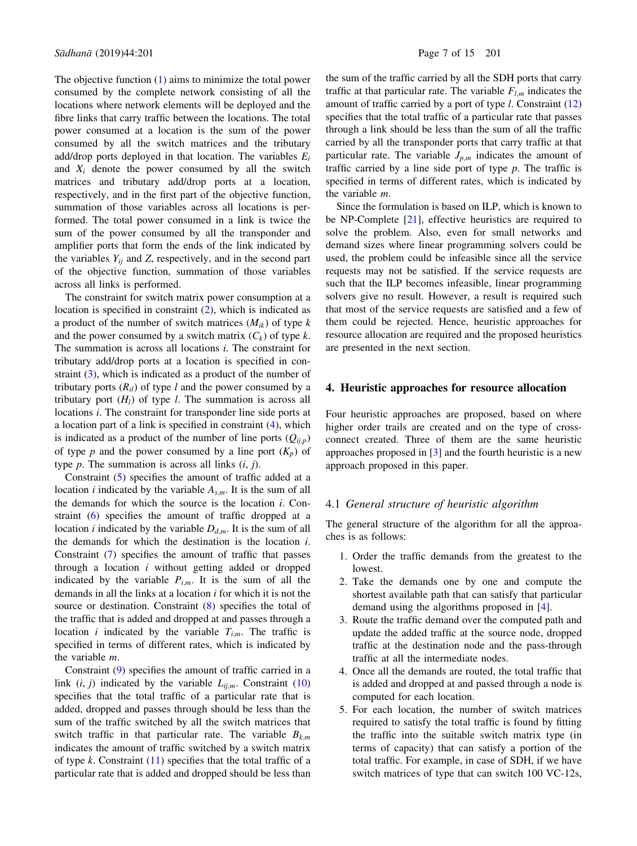The objective function (1) aims to minimize the total power consumed by the complete network consisting of all the locations where network elements will be deployed and the fibre links that carry traffic between the locations. The total power consumed at a location is the sum of the power consumed by all the switch matrices and the tributary add/drop ports deployed in that location. The variables  $E_i$ and  $X_i$  denote the power consumed by all the switch matrices and tributary add/drop ports at a location, respectively, and in the first part of the objective function, summation of those variables across all locations is performed. The total power consumed in a link is twice the sum of the power consumed by all the transponder and amplifier ports that form the ends of the link indicated by the variables  $Y_{ii}$  and Z, respectively, and in the second part of the objective function, summation of those variables across all links is performed.

The constraint for switch matrix power consumption at a location is specified in constraint (2), which is indicated as a product of the number of switch matrices  $(M_{ik})$  of type k and the power consumed by a switch matrix  $(C_k)$  of type k. The summation is across all locations i. The constraint for tributary add/drop ports at a location is specified in constraint  $(3)$ , which is indicated as a product of the number of tributary ports  $(R_{il})$  of type l and the power consumed by a tributary port  $(H_l)$  of type l. The summation is across all locations i. The constraint for transponder line side ports at a location part of a link is specified in constraint (4), which is indicated as a product of the number of line ports  $(Q_{ii,p})$ of type p and the power consumed by a line port  $(K_p)$  of type p. The summation is across all links  $(i, j)$ .

Constraint (5) specifies the amount of traffic added at a location *i* indicated by the variable  $A_{s,m}$ . It is the sum of all the demands for which the source is the location  $i$ . Constraint (6) specifies the amount of traffic dropped at a location *i* indicated by the variable  $D_{d,m}$ . It is the sum of all the demands for which the destination is the location i. Constraint (7) specifies the amount of traffic that passes through a location  $i$  without getting added or dropped indicated by the variable  $P_{i,m}$ . It is the sum of all the demands in all the links at a location  $i$  for which it is not the source or destination. Constraint (8) specifies the total of the traffic that is added and dropped at and passes through a location *i* indicated by the variable  $T_{i,m}$ . The traffic is specified in terms of different rates, which is indicated by the variable m.

Constraint (9) specifies the amount of traffic carried in a link  $(i, j)$  indicated by the variable  $L_{ij,m}$ . Constraint (10) specifies that the total traffic of a particular rate that is added, dropped and passes through should be less than the sum of the traffic switched by all the switch matrices that switch traffic in that particular rate. The variable  $B_{k,m}$ indicates the amount of traffic switched by a switch matrix of type k. Constraint  $(11)$  specifies that the total traffic of a particular rate that is added and dropped should be less than

the sum of the traffic carried by all the SDH ports that carry traffic at that particular rate. The variable  $F_{l,m}$  indicates the amount of traffic carried by a port of type  $l$ . Constraint  $(12)$ specifies that the total traffic of a particular rate that passes through a link should be less than the sum of all the traffic carried by all the transponder ports that carry traffic at that particular rate. The variable  $J_{p,m}$  indicates the amount of traffic carried by a line side port of type  $p$ . The traffic is specified in terms of different rates, which is indicated by the variable m.

Since the formulation is based on ILP, which is known to be NP-Complete [21], effective heuristics are required to solve the problem. Also, even for small networks and demand sizes where linear programming solvers could be used, the problem could be infeasible since all the service requests may not be satisfied. If the service requests are such that the ILP becomes infeasible, linear programming solvers give no result. However, a result is required such that most of the service requests are satisfied and a few of them could be rejected. Hence, heuristic approaches for resource allocation are required and the proposed heuristics are presented in the next section.

#### 4. Heuristic approaches for resource allocation

Four heuristic approaches are proposed, based on where higher order trails are created and on the type of crossconnect created. Three of them are the same heuristic approaches proposed in [3] and the fourth heuristic is a new approach proposed in this paper.

### 4.1 General structure of heuristic algorithm

The general structure of the algorithm for all the approaches is as follows:

- 1. Order the traffic demands from the greatest to the lowest.
- 2. Take the demands one by one and compute the shortest available path that can satisfy that particular demand using the algorithms proposed in [4].
- 3. Route the traffic demand over the computed path and update the added traffic at the source node, dropped traffic at the destination node and the pass-through traffic at all the intermediate nodes.
- 4. Once all the demands are routed, the total traffic that is added and dropped at and passed through a node is computed for each location.
- 5. For each location, the number of switch matrices required to satisfy the total traffic is found by fitting the traffic into the suitable switch matrix type (in terms of capacity) that can satisfy a portion of the total traffic. For example, in case of SDH, if we have switch matrices of type that can switch 100 VC-12s,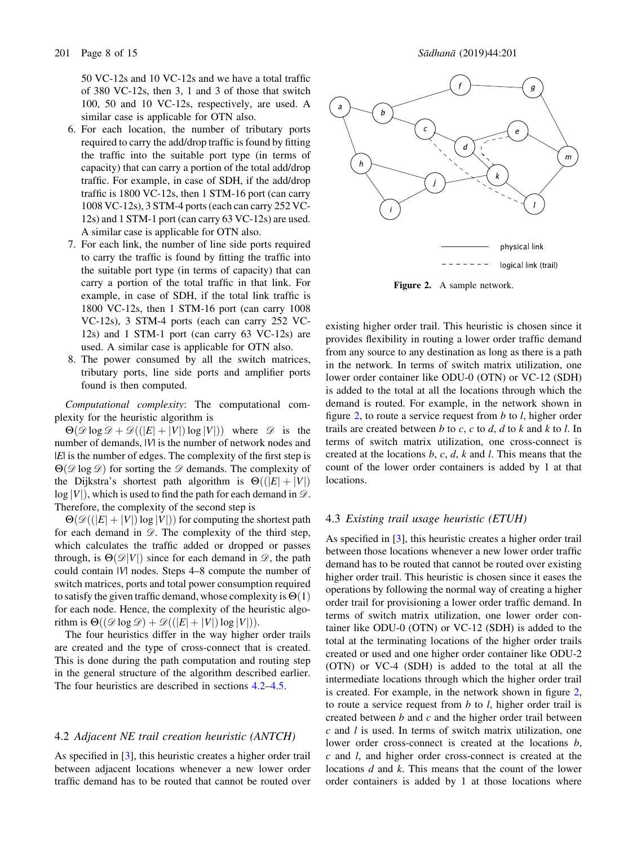50 VC-12s and 10 VC-12s and we have a total traffic of 380 VC-12s, then 3, 1 and 3 of those that switch 100, 50 and 10 VC-12s, respectively, are used. A similar case is applicable for OTN also.

- 6. For each location, the number of tributary ports required to carry the add/drop traffic is found by fitting the traffic into the suitable port type (in terms of capacity) that can carry a portion of the total add/drop traffic. For example, in case of SDH, if the add/drop traffic is 1800 VC-12s, then 1 STM-16 port (can carry 1008 VC-12s), 3 STM-4 ports (each can carry 252 VC-12s) and 1 STM-1 port (can carry 63 VC-12s) are used. A similar case is applicable for OTN also.
- 7. For each link, the number of line side ports required to carry the traffic is found by fitting the traffic into the suitable port type (in terms of capacity) that can carry a portion of the total traffic in that link. For example, in case of SDH, if the total link traffic is 1800 VC-12s, then 1 STM-16 port (can carry 1008 VC-12s), 3 STM-4 ports (each can carry 252 VC-12s) and 1 STM-1 port (can carry 63 VC-12s) are used. A similar case is applicable for OTN also.
- 8. The power consumed by all the switch matrices, tributary ports, line side ports and amplifier ports found is then computed.

Computational complexity: The computational complexity for the heuristic algorithm is

 $\Theta(\mathcal{D} \log \mathcal{D} + \mathcal{D}((|E|+|V|)\log |V|))$  where  $\mathcal D$  is the number of demands, |V| is the number of network nodes and  $|E|$  is the number of edges. The complexity of the first step is  $\Theta(\mathscr{D} \log \mathscr{D})$  for sorting the  $\mathscr{D}$  demands. The complexity of the Dijkstra's shortest path algorithm is  $\Theta(|E|+|V|)$  $log |V|$ , which is used to find the path for each demand in  $\mathcal{D}$ . Therefore, the complexity of the second step is

 $\Theta(\mathscr{D}((|E|+|V|)\log |V|))$  for computing the shortest path for each demand in  $\mathscr{D}$ . The complexity of the third step, which calculates the traffic added or dropped or passes through, is  $\Theta(\mathscr{D}|V|)$  since for each demand in  $\mathscr{D}$ , the path could contain |V| nodes. Steps 4–8 compute the number of switch matrices, ports and total power consumption required to satisfy the given traffic demand, whose complexity is  $\Theta(1)$ for each node. Hence, the complexity of the heuristic algorithm is  $\Theta((\mathcal{D}\log \mathcal{D}) + \mathcal{D}((|E|+|V|)\log |V|)).$ 

The four heuristics differ in the way higher order trails are created and the type of cross-connect that is created. This is done during the path computation and routing step in the general structure of the algorithm described earlier. The four heuristics are described in sections 4.2–4.5.

# 4.2 Adjacent NE trail creation heuristic (ANTCH)

As specified in [3], this heuristic creates a higher order trail between adjacent locations whenever a new lower order traffic demand has to be routed that cannot be routed over



Figure 2. A sample network.

existing higher order trail. This heuristic is chosen since it provides flexibility in routing a lower order traffic demand from any source to any destination as long as there is a path in the network. In terms of switch matrix utilization, one lower order container like ODU-0 (OTN) or VC-12 (SDH) is added to the total at all the locations through which the demand is routed. For example, in the network shown in figure 2, to route a service request from  $b$  to  $l$ , higher order trails are created between b to c, c to d, d to k and k to l. In terms of switch matrix utilization, one cross-connect is created at the locations  $b, c, d, k$  and l. This means that the count of the lower order containers is added by 1 at that locations.

### 4.3 Existing trail usage heuristic (ETUH)

As specified in [3], this heuristic creates a higher order trail between those locations whenever a new lower order traffic demand has to be routed that cannot be routed over existing higher order trail. This heuristic is chosen since it eases the operations by following the normal way of creating a higher order trail for provisioning a lower order traffic demand. In terms of switch matrix utilization, one lower order container like ODU-0 (OTN) or VC-12 (SDH) is added to the total at the terminating locations of the higher order trails created or used and one higher order container like ODU-2 (OTN) or VC-4 (SDH) is added to the total at all the intermediate locations through which the higher order trail is created. For example, in the network shown in figure 2, to route a service request from  $b$  to  $l$ , higher order trail is created between  $b$  and  $c$  and the higher order trail between  $c$  and  $l$  is used. In terms of switch matrix utilization, one lower order cross-connect is created at the locations b, c and l, and higher order cross-connect is created at the locations d and k. This means that the count of the lower order containers is added by 1 at those locations where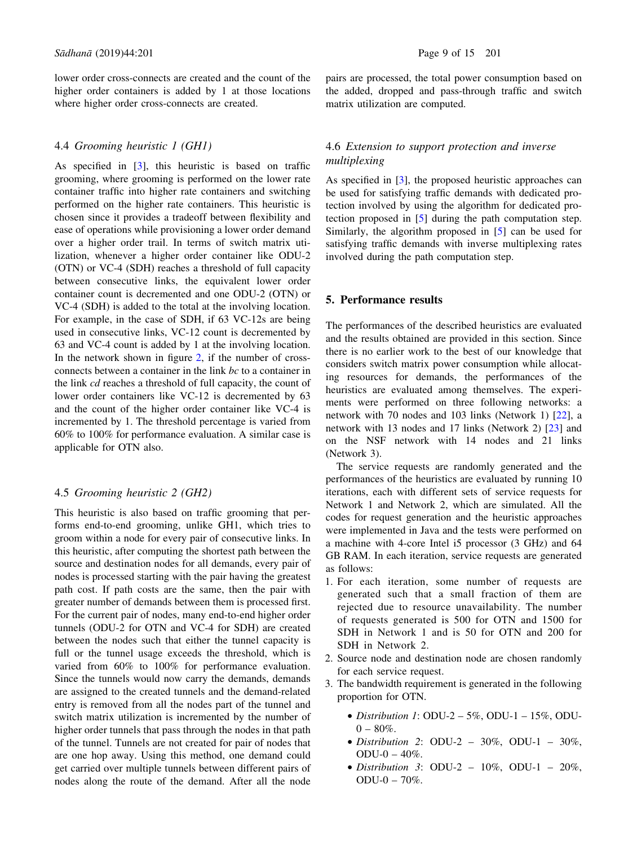lower order cross-connects are created and the count of the higher order containers is added by 1 at those locations where higher order cross-connects are created.

# 4.4 Grooming heuristic 1 (GH1)

As specified in [3], this heuristic is based on traffic grooming, where grooming is performed on the lower rate container traffic into higher rate containers and switching performed on the higher rate containers. This heuristic is chosen since it provides a tradeoff between flexibility and ease of operations while provisioning a lower order demand over a higher order trail. In terms of switch matrix utilization, whenever a higher order container like ODU-2 (OTN) or VC-4 (SDH) reaches a threshold of full capacity between consecutive links, the equivalent lower order container count is decremented and one ODU-2 (OTN) or VC-4 (SDH) is added to the total at the involving location. For example, in the case of SDH, if 63 VC-12s are being used in consecutive links, VC-12 count is decremented by 63 and VC-4 count is added by 1 at the involving location. In the network shown in figure 2, if the number of crossconnects between a container in the link bc to a container in the link cd reaches a threshold of full capacity, the count of lower order containers like VC-12 is decremented by 63 and the count of the higher order container like VC-4 is incremented by 1. The threshold percentage is varied from 60% to 100% for performance evaluation. A similar case is applicable for OTN also.

### 4.5 Grooming heuristic 2 (GH2)

This heuristic is also based on traffic grooming that performs end-to-end grooming, unlike GH1, which tries to groom within a node for every pair of consecutive links. In this heuristic, after computing the shortest path between the source and destination nodes for all demands, every pair of nodes is processed starting with the pair having the greatest path cost. If path costs are the same, then the pair with greater number of demands between them is processed first. For the current pair of nodes, many end-to-end higher order tunnels (ODU-2 for OTN and VC-4 for SDH) are created between the nodes such that either the tunnel capacity is full or the tunnel usage exceeds the threshold, which is varied from 60% to 100% for performance evaluation. Since the tunnels would now carry the demands, demands are assigned to the created tunnels and the demand-related entry is removed from all the nodes part of the tunnel and switch matrix utilization is incremented by the number of higher order tunnels that pass through the nodes in that path of the tunnel. Tunnels are not created for pair of nodes that are one hop away. Using this method, one demand could get carried over multiple tunnels between different pairs of nodes along the route of the demand. After all the node pairs are processed, the total power consumption based on the added, dropped and pass-through traffic and switch matrix utilization are computed.

# 4.6 Extension to support protection and inverse multiplexing

As specified in [3], the proposed heuristic approaches can be used for satisfying traffic demands with dedicated protection involved by using the algorithm for dedicated protection proposed in [5] during the path computation step. Similarly, the algorithm proposed in [5] can be used for satisfying traffic demands with inverse multiplexing rates involved during the path computation step.

# 5. Performance results

The performances of the described heuristics are evaluated and the results obtained are provided in this section. Since there is no earlier work to the best of our knowledge that considers switch matrix power consumption while allocating resources for demands, the performances of the heuristics are evaluated among themselves. The experiments were performed on three following networks: a network with 70 nodes and 103 links (Network 1) [22], a network with 13 nodes and 17 links (Network 2) [23] and on the NSF network with 14 nodes and 21 links (Network 3).

The service requests are randomly generated and the performances of the heuristics are evaluated by running 10 iterations, each with different sets of service requests for Network 1 and Network 2, which are simulated. All the codes for request generation and the heuristic approaches were implemented in Java and the tests were performed on a machine with 4-core Intel i5 processor (3 GHz) and 64 GB RAM. In each iteration, service requests are generated as follows:

- 1. For each iteration, some number of requests are generated such that a small fraction of them are rejected due to resource unavailability. The number of requests generated is 500 for OTN and 1500 for SDH in Network 1 and is 50 for OTN and 200 for SDH in Network 2.
- 2. Source node and destination node are chosen randomly for each service request.
- 3. The bandwidth requirement is generated in the following proportion for OTN.
	- $\bullet$  Distribution 1: ODU-2 5%, ODU-1 15%, ODU- $0 - 80\%$ .
	- Distribution 2: ODU-2 30%, ODU-1 30%,  $ODU-0 - 40%$ .
	- Distribution 3: ODU-2 10%, ODU-1 20%, ODU-0 – 70%.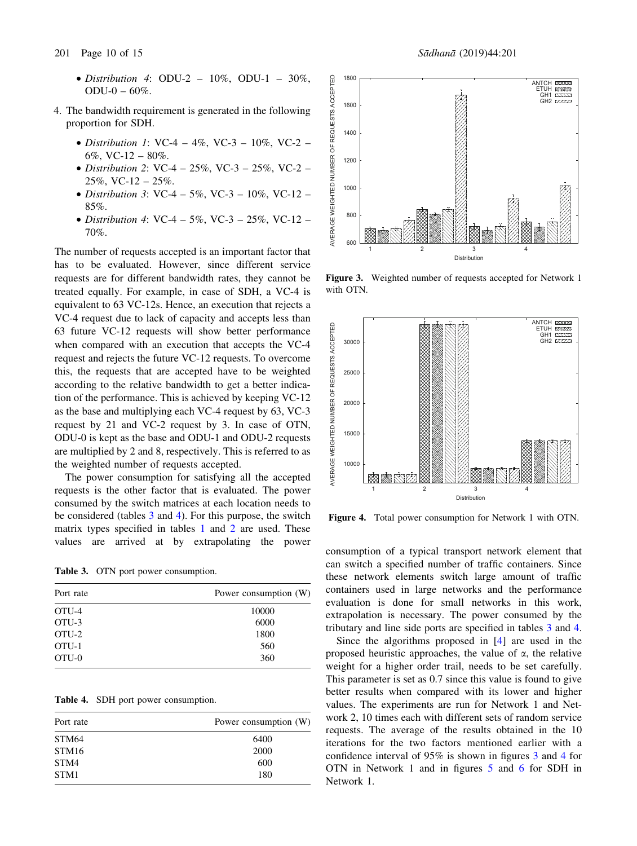- 201 Page 10 of 15 Sädhanå (2019) 44:201
	- Distribution 4: ODU-2  $10\%$ , ODU-1  $30\%$ ,  $ODU-0 - 60\%$ .
- 4. The bandwidth requirement is generated in the following proportion for SDH.
	- Distribution 1: VC-4 4%, VC-3 10%, VC-2 6%, VC-12 –  $80\%$ .
	- Distribution 2:  $VC-4 25\%$ ,  $VC-3 25\%$ ,  $VC-2 -$ 25%, VC-12 – 25%.
	- Distribution 3: VC-4 5%, VC-3 10%, VC-12 85%.
	- Distribution 4: VC-4 5%, VC-3 25%, VC-12 70%.

The number of requests accepted is an important factor that has to be evaluated. However, since different service requests are for different bandwidth rates, they cannot be treated equally. For example, in case of SDH, a VC-4 is equivalent to 63 VC-12s. Hence, an execution that rejects a VC-4 request due to lack of capacity and accepts less than 63 future VC-12 requests will show better performance when compared with an execution that accepts the VC-4 request and rejects the future VC-12 requests. To overcome this, the requests that are accepted have to be weighted according to the relative bandwidth to get a better indication of the performance. This is achieved by keeping VC-12 as the base and multiplying each VC-4 request by 63, VC-3 request by 21 and VC-2 request by 3. In case of OTN, ODU-0 is kept as the base and ODU-1 and ODU-2 requests are multiplied by 2 and 8, respectively. This is referred to as the weighted number of requests accepted.

The power consumption for satisfying all the accepted requests is the other factor that is evaluated. The power consumed by the switch matrices at each location needs to be considered (tables 3 and 4). For this purpose, the switch matrix types specified in tables 1 and 2 are used. These values are arrived at by extrapolating the power

Table 3. OTN port power consumption.

| Port rate | Power consumption (W) |
|-----------|-----------------------|
| OTU-4     | 10000                 |
| OTU-3     | 6000                  |
| OTU-2     | 1800                  |
| OTU-1     | 560                   |
| OTU-0     | 360                   |

Table 4. SDH port power consumption.

| Port rate | Power consumption (W) |  |  |
|-----------|-----------------------|--|--|
| STM64     | 6400                  |  |  |
| STM16     | 2000                  |  |  |
| STM4      | 600                   |  |  |
| STM1      | 180                   |  |  |



Figure 3. Weighted number of requests accepted for Network 1 with OTN.



Figure 4. Total power consumption for Network 1 with OTN.

consumption of a typical transport network element that can switch a specified number of traffic containers. Since these network elements switch large amount of traffic containers used in large networks and the performance evaluation is done for small networks in this work, extrapolation is necessary. The power consumed by the tributary and line side ports are specified in tables 3 and 4.

Since the algorithms proposed in [4] are used in the proposed heuristic approaches, the value of  $\alpha$ , the relative weight for a higher order trail, needs to be set carefully. This parameter is set as 0.7 since this value is found to give better results when compared with its lower and higher values. The experiments are run for Network 1 and Network 2, 10 times each with different sets of random service requests. The average of the results obtained in the 10 iterations for the two factors mentioned earlier with a confidence interval of 95% is shown in figures 3 and 4 for OTN in Network 1 and in figures 5 and 6 for SDH in Network 1.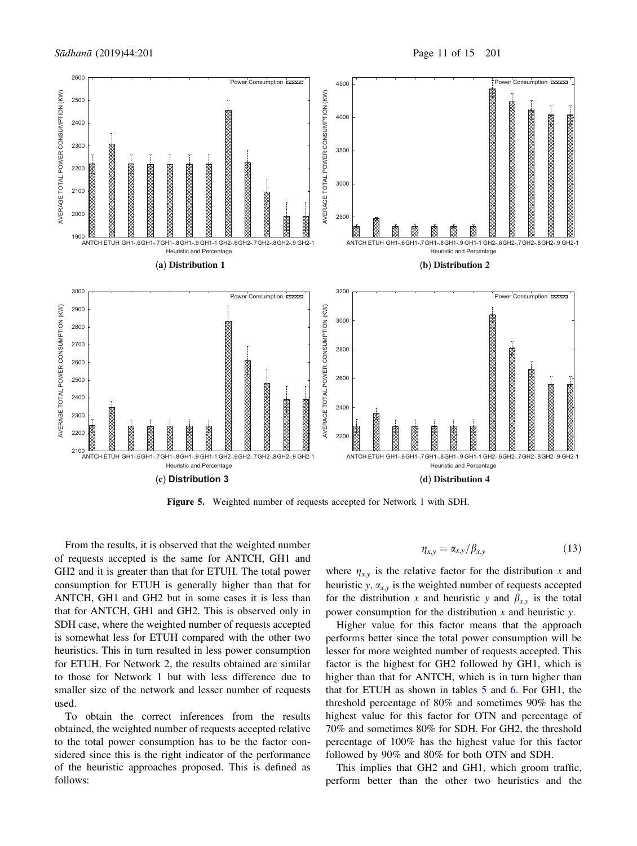

Figure 5. Weighted number of requests accepted for Network 1 with SDH.

From the results, it is observed that the weighted number of requests accepted is the same for ANTCH, GH1 and GH2 and it is greater than that for ETUH. The total power consumption for ETUH is generally higher than that for ANTCH, GH1 and GH2 but in some cases it is less than that for ANTCH, GH1 and GH2. This is observed only in SDH case, where the weighted number of requests accepted is somewhat less for ETUH compared with the other two heuristics. This in turn resulted in less power consumption for ETUH. For Network 2, the results obtained are similar to those for Network 1 but with less difference due to smaller size of the network and lesser number of requests used.

To obtain the correct inferences from the results obtained, the weighted number of requests accepted relative to the total power consumption has to be the factor considered since this is the right indicator of the performance of the heuristic approaches proposed. This is defined as follows:

$$
\eta_{x,y} = \alpha_{x,y} / \beta_{x,y} \tag{13}
$$

where  $\eta_{xx}$  is the relative factor for the distribution x and heuristic y,  $\alpha_{x,y}$  is the weighted number of requests accepted for the distribution x and heuristic y and  $\beta_{xy}$  is the total power consumption for the distribution  $x$  and heuristic  $y$ .

Higher value for this factor means that the approach performs better since the total power consumption will be lesser for more weighted number of requests accepted. This factor is the highest for GH2 followed by GH1, which is higher than that for ANTCH, which is in turn higher than that for ETUH as shown in tables 5 and 6. For GH1, the threshold percentage of 80% and sometimes 90% has the highest value for this factor for OTN and percentage of 70% and sometimes 80% for SDH. For GH2, the threshold percentage of 100% has the highest value for this factor followed by 90% and 80% for both OTN and SDH.

This implies that GH2 and GH1, which groom traffic, perform better than the other two heuristics and the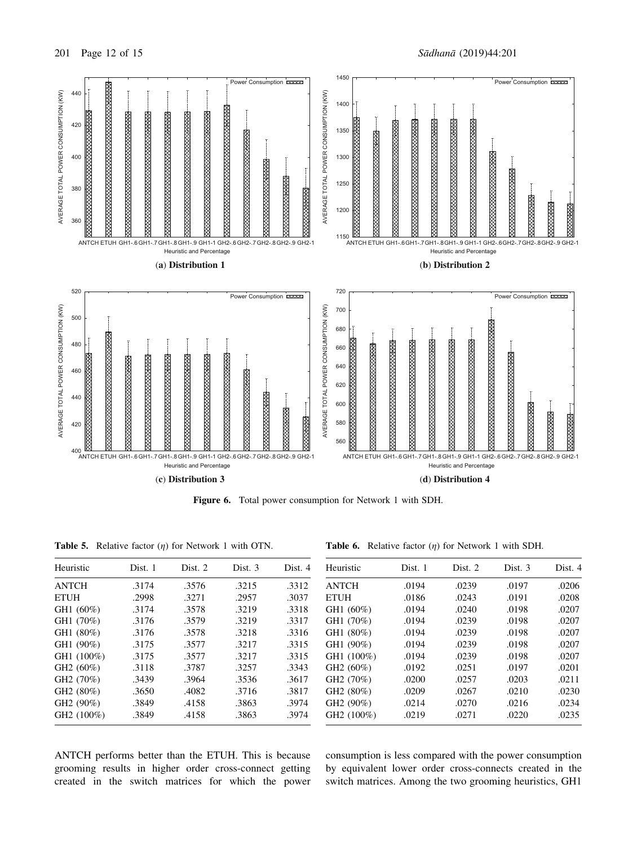

Figure 6. Total power consumption for Network 1 with SDH.

**Table 5.** Relative factor  $(\eta)$  for Network 1 with OTN.

**Table 6.** Relative factor  $(\eta)$  for Network 1 with SDH.

| Heuristic             | Dist. 1 | Dist. 2 | Dist. 3 | Dist. 4 | Heuristic                | Dist. 1 | Dist. 2 | Dist. 3 | Dist. 4 |
|-----------------------|---------|---------|---------|---------|--------------------------|---------|---------|---------|---------|
| <b>ANTCH</b>          | .3174   | .3576   | .3215   | .3312   | <b>ANTCH</b>             | .0194   | .0239   | .0197   | .0206   |
| <b>ETUH</b>           | .2998   | .3271   | .2957   | .3037   | <b>ETUH</b>              | .0186   | .0243   | .0191   | .0208   |
| GH1 (60%)             | .3174   | .3578   | .3219   | .3318   | GH1 (60%)                | .0194   | .0240   | .0198   | .0207   |
| GH1 (70%)             | .3176   | .3579   | .3219   | .3317   | GH1 (70%)                | .0194   | .0239   | .0198   | .0207   |
| GH1 (80%)             | .3176   | .3578   | .3218   | .3316   | GH1 (80%)                | .0194   | .0239   | .0198   | .0207   |
| GH1 (90%)             | .3175   | .3577   | .3217   | .3315   | GH1 (90%)                | .0194   | .0239   | .0198   | .0207   |
| GH1 (100%)            | .3175   | .3577   | .3217   | .3315   | GH1 (100%)               | .0194   | .0239   | .0198   | .0207   |
| GH2(60%)              | .3118   | .3787   | .3257   | .3343   | GH <sub>2</sub> (60%)    | .0192   | .0251   | .0197   | .0201   |
| GH <sub>2</sub> (70%) | .3439   | .3964   | .3536   | .3617   | GH <sub>2</sub> (70%)    | .0200   | .0257   | .0203   | .0211   |
| GH2(80%)              | .3650   | .4082   | .3716   | .3817   | GH <sub>2</sub> $(80\%)$ | .0209   | .0267   | .0210   | .0230   |
| GH2(90%)              | .3849   | .4158   | .3863   | .3974   | GH <sub>2</sub> (90%)    | .0214   | .0270   | .0216   | .0234   |
| GH2 $(100\%)$         | .3849   | .4158   | .3863   | .3974   | GH <sub>2</sub> (100%)   | .0219   | .0271   | .0220   | .0235   |

ANTCH performs better than the ETUH. This is because grooming results in higher order cross-connect getting created in the switch matrices for which the power consumption is less compared with the power consumption by equivalent lower order cross-connects created in the switch matrices. Among the two grooming heuristics, GH1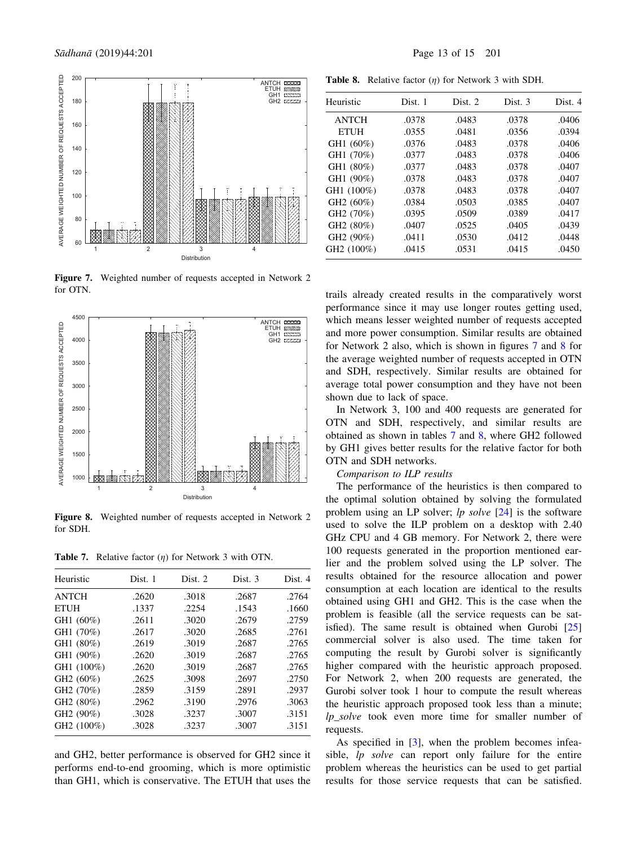

Figure 7. Weighted number of requests accepted in Network 2 for OTN.



Figure 8. Weighted number of requests accepted in Network 2 for SDH.

**Table 7.** Relative factor  $(n)$  for Network 3 with OTN.

| Heuristic             | Dist. 1 | Dist. 2 | Dist. 3 | Dist. 4 |
|-----------------------|---------|---------|---------|---------|
| <b>ANTCH</b>          | .2620   | .3018   | .2687   | .2764   |
| <b>ETUH</b>           | .1337   | .2254   | .1543   | .1660   |
| GH1 (60%)             | .2611   | .3020   | .2679   | .2759   |
| GH1 (70%)             | .2617   | .3020   | .2685   | .2761   |
| GH1 (80%)             | .2619   | .3019   | .2687   | .2765   |
| GH1 (90%)             | .2620   | .3019   | .2687   | .2765   |
| GH1 (100%)            | .2620   | .3019   | .2687   | .2765   |
| GH <sub>2</sub> (60%) | .2625   | .3098   | .2697   | .2750   |
| GH <sub>2</sub> (70%) | .2859   | .3159   | .2891   | .2937   |
| GH <sub>2</sub> (80%) | .2962   | .3190   | .2976   | .3063   |
| GH2 (90%)             | .3028   | .3237   | .3007   | .3151   |
| GH2 (100%)            | .3028   | .3237   | .3007   | .3151   |

and GH2, better performance is observed for GH2 since it performs end-to-end grooming, which is more optimistic than GH1, which is conservative. The ETUH that uses the

**Table 8.** Relative factor  $(\eta)$  for Network 3 with SDH.

| Heuristic             | Dist. 1 | Dist. 2 | Dist. 3 | Dist. 4 |
|-----------------------|---------|---------|---------|---------|
| <b>ANTCH</b>          | .0378   | .0483   | .0378   | .0406   |
| ETUH                  | .0355   | .0481   | .0356   | .0394   |
| GH1 (60%)             | .0376   | .0483   | .0378   | .0406   |
| GH1 (70%)             | .0377   | .0483   | .0378   | .0406   |
| GH1 (80%)             | .0377   | .0483   | .0378   | .0407   |
| GH1 (90%)             | .0378   | .0483   | .0378   | .0407   |
| GH1 (100%)            | .0378   | .0483   | .0378   | .0407   |
| GH <sub>2</sub> (60%) | .0384   | .0503   | .0385   | .0407   |
| GH <sub>2</sub> (70%) | .0395   | .0509   | .0389   | .0417   |
| GH <sub>2</sub> (80%) | .0407   | .0525   | .0405   | .0439   |
| GH <sub>2</sub> (90%) | .0411   | .0530   | .0412   | .0448   |
| GH2 (100%)            | .0415   | .0531   | .0415   | .0450   |

trails already created results in the comparatively worst performance since it may use longer routes getting used, which means lesser weighted number of requests accepted and more power consumption. Similar results are obtained for Network 2 also, which is shown in figures 7 and 8 for the average weighted number of requests accepted in OTN and SDH, respectively. Similar results are obtained for average total power consumption and they have not been shown due to lack of space.

In Network 3, 100 and 400 requests are generated for OTN and SDH, respectively, and similar results are obtained as shown in tables 7 and 8, where GH2 followed by GH1 gives better results for the relative factor for both OTN and SDH networks.

Comparison to ILP results

The performance of the heuristics is then compared to the optimal solution obtained by solving the formulated problem using an LP solver;  $lp$  solve  $[24]$  is the software used to solve the ILP problem on a desktop with 2.40 GHz CPU and 4 GB memory. For Network 2, there were 100 requests generated in the proportion mentioned earlier and the problem solved using the LP solver. The results obtained for the resource allocation and power consumption at each location are identical to the results obtained using GH1 and GH2. This is the case when the problem is feasible (all the service requests can be satisfied). The same result is obtained when Gurobi [25] commercial solver is also used. The time taken for computing the result by Gurobi solver is significantly higher compared with the heuristic approach proposed. For Network 2, when 200 requests are generated, the Gurobi solver took 1 hour to compute the result whereas the heuristic approach proposed took less than a minute; lp\_solve took even more time for smaller number of requests.

As specified in [3], when the problem becomes infeasible, *lp solve* can report only failure for the entire problem whereas the heuristics can be used to get partial results for those service requests that can be satisfied.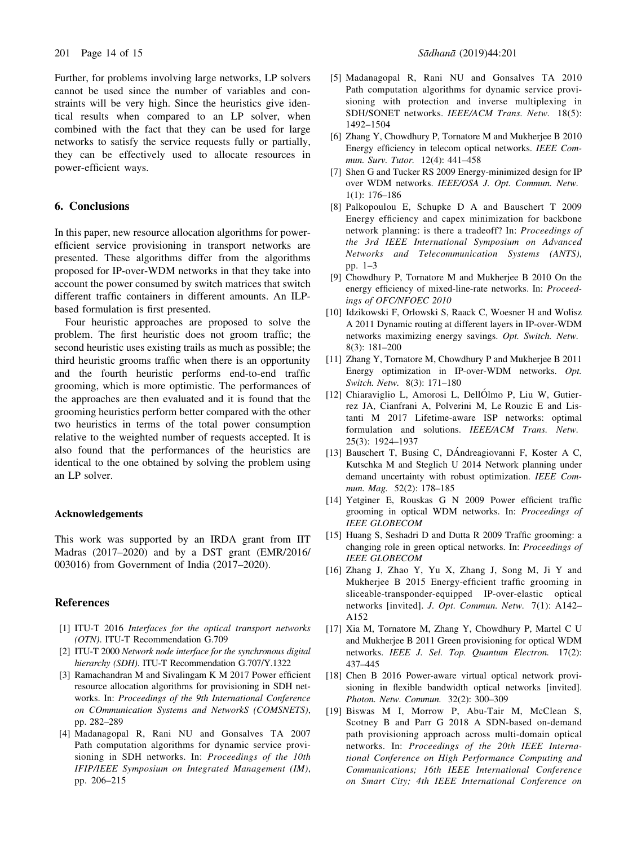Further, for problems involving large networks, LP solvers cannot be used since the number of variables and constraints will be very high. Since the heuristics give identical results when compared to an LP solver, when combined with the fact that they can be used for large networks to satisfy the service requests fully or partially, they can be effectively used to allocate resources in power-efficient ways.

## 6. Conclusions

In this paper, new resource allocation algorithms for powerefficient service provisioning in transport networks are presented. These algorithms differ from the algorithms proposed for IP-over-WDM networks in that they take into account the power consumed by switch matrices that switch different traffic containers in different amounts. An ILPbased formulation is first presented.

Four heuristic approaches are proposed to solve the problem. The first heuristic does not groom traffic; the second heuristic uses existing trails as much as possible; the third heuristic grooms traffic when there is an opportunity and the fourth heuristic performs end-to-end traffic grooming, which is more optimistic. The performances of the approaches are then evaluated and it is found that the grooming heuristics perform better compared with the other two heuristics in terms of the total power consumption relative to the weighted number of requests accepted. It is also found that the performances of the heuristics are identical to the one obtained by solving the problem using an LP solver.

#### Acknowledgements

This work was supported by an IRDA grant from IIT Madras (2017–2020) and by a DST grant (EMR/2016/ 003016) from Government of India (2017–2020).

#### References

- [1] ITU-T 2016 Interfaces for the optical transport networks (OTN). ITU-T Recommendation G.709
- [2] ITU-T 2000 Network node interface for the synchronous digital hierarchy (SDH). ITU-T Recommendation G.707/Y.1322
- [3] Ramachandran M and Sivalingam K M 2017 Power efficient resource allocation algorithms for provisioning in SDH networks. In: Proceedings of the 9th International Conference on COmmunication Systems and NetworkS (COMSNETS), pp. 282–289
- [4] Madanagopal R, Rani NU and Gonsalves TA 2007 Path computation algorithms for dynamic service provisioning in SDH networks. In: Proceedings of the 10th IFIP/IEEE Symposium on Integrated Management (IM), pp. 206–215
- [5] Madanagopal R, Rani NU and Gonsalves TA 2010 Path computation algorithms for dynamic service provisioning with protection and inverse multiplexing in SDH/SONET networks. IEEE/ACM Trans. Netw. 18(5): 1492–1504
- [6] Zhang Y, Chowdhury P, Tornatore M and Mukherjee B 2010 Energy efficiency in telecom optical networks. IEEE Commun. Surv. Tutor. 12(4): 441–458
- [7] Shen G and Tucker RS 2009 Energy-minimized design for IP over WDM networks. IEEE/OSA J. Opt. Commun. Netw. 1(1): 176–186
- [8] Palkopoulou E, Schupke D A and Bauschert T 2009 Energy efficiency and capex minimization for backbone network planning: is there a tradeoff? In: Proceedings of the 3rd IEEE International Symposium on Advanced Networks and Telecommunication Systems (ANTS), pp. 1–3
- [9] Chowdhury P, Tornatore M and Mukherjee B 2010 On the energy efficiency of mixed-line-rate networks. In: Proceedings of OFC/NFOEC 2010
- [10] Idzikowski F, Orlowski S, Raack C, Woesner H and Wolisz A 2011 Dynamic routing at different layers in IP-over-WDM networks maximizing energy savings. Opt. Switch. Netw. 8(3): 181–200
- [11] Zhang Y, Tornatore M, Chowdhury P and Mukherjee B 2011 Energy optimization in IP-over-WDM networks. Opt. Switch. Netw. 8(3): 171–180
- [12] Chiaraviglio L, Amorosi L, DellÓlmo P, Liu W, Gutierrez JA, Cianfrani A, Polverini M, Le Rouzic E and Listanti M 2017 Lifetime-aware ISP networks: optimal formulation and solutions. IEEE/ACM Trans. Netw. 25(3): 1924–1937
- [13] Bauschert T, Busing C, DAndreagiovanni F, Koster A C, Kutschka M and Steglich U 2014 Network planning under demand uncertainty with robust optimization. IEEE Commun. Mag. 52(2): 178–185
- [14] Yetginer E, Rouskas G N 2009 Power efficient traffic grooming in optical WDM networks. In: Proceedings of IEEE GLOBECOM
- [15] Huang S, Seshadri D and Dutta R 2009 Traffic grooming: a changing role in green optical networks. In: Proceedings of IEEE GLOBECOM
- [16] Zhang J, Zhao Y, Yu X, Zhang J, Song M, Ji Y and Mukherjee B 2015 Energy-efficient traffic grooming in sliceable-transponder-equipped IP-over-elastic optical networks [invited]. J. Opt. Commun. Netw. 7(1): A142– A152
- [17] Xia M, Tornatore M, Zhang Y, Chowdhury P, Martel C U and Mukherjee B 2011 Green provisioning for optical WDM networks. IEEE J. Sel. Top. Quantum Electron. 17(2): 437–445
- [18] Chen B 2016 Power-aware virtual optical network provisioning in flexible bandwidth optical networks [invited]. Photon. Netw. Commun. 32(2): 300–309
- [19] Biswas M I, Morrow P, Abu-Tair M, McClean S, Scotney B and Parr G 2018 A SDN-based on-demand path provisioning approach across multi-domain optical networks. In: Proceedings of the 20th IEEE International Conference on High Performance Computing and Communications; 16th IEEE International Conference on Smart City; 4th IEEE International Conference on